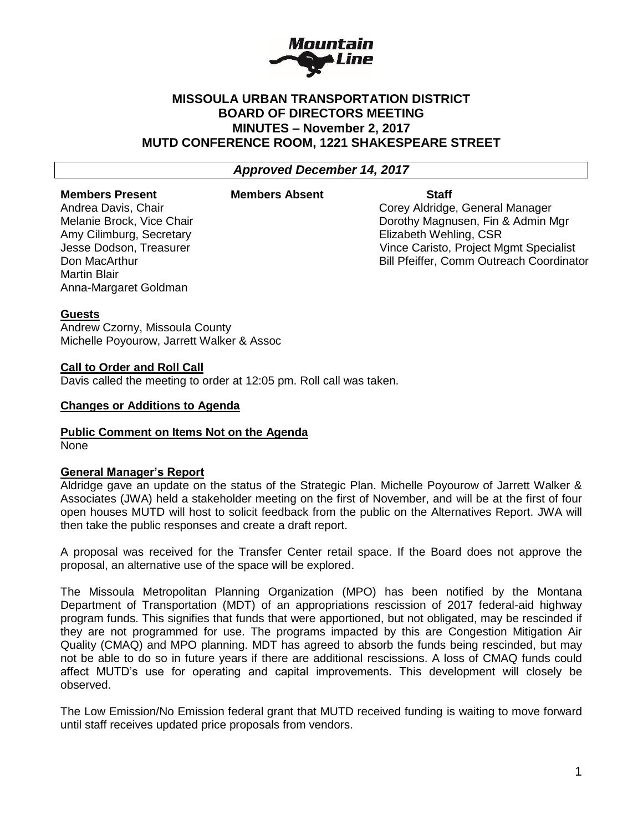

# **MISSOULA URBAN TRANSPORTATION DISTRICT BOARD OF DIRECTORS MEETING MINUTES – November 2, 2017 MUTD CONFERENCE ROOM, 1221 SHAKESPEARE STREET**

*Approved December 14, 2017*

#### **Members Present Members Absent Staff**

Amy Cilimburg, Secretary Elizabeth Wehling, CSR Martin Blair Anna-Margaret Goldman

Andrea Davis, Chair Corey Aldridge, General Manager Melanie Brock, Vice Chair Dorothy Magnusen, Fin & Admin Mgr Jesse Dodson, Treasurer Vince Caristo, Project Mgmt Specialist Don MacArthur Bill Pfeiffer, Comm Outreach Coordinator

### **Guests**

Andrew Czorny, Missoula County Michelle Poyourow, Jarrett Walker & Assoc

### **Call to Order and Roll Call**

Davis called the meeting to order at 12:05 pm. Roll call was taken.

### **Changes or Additions to Agenda**

## **Public Comment on Items Not on the Agenda**

None

## **General Manager's Report**

Aldridge gave an update on the status of the Strategic Plan. Michelle Poyourow of Jarrett Walker & Associates (JWA) held a stakeholder meeting on the first of November, and will be at the first of four open houses MUTD will host to solicit feedback from the public on the Alternatives Report. JWA will then take the public responses and create a draft report.

A proposal was received for the Transfer Center retail space. If the Board does not approve the proposal, an alternative use of the space will be explored.

The Missoula Metropolitan Planning Organization (MPO) has been notified by the Montana Department of Transportation (MDT) of an appropriations rescission of 2017 federal-aid highway program funds. This signifies that funds that were apportioned, but not obligated, may be rescinded if they are not programmed for use. The programs impacted by this are Congestion Mitigation Air Quality (CMAQ) and MPO planning. MDT has agreed to absorb the funds being rescinded, but may not be able to do so in future years if there are additional rescissions. A loss of CMAQ funds could affect MUTD's use for operating and capital improvements. This development will closely be observed.

The Low Emission/No Emission federal grant that MUTD received funding is waiting to move forward until staff receives updated price proposals from vendors.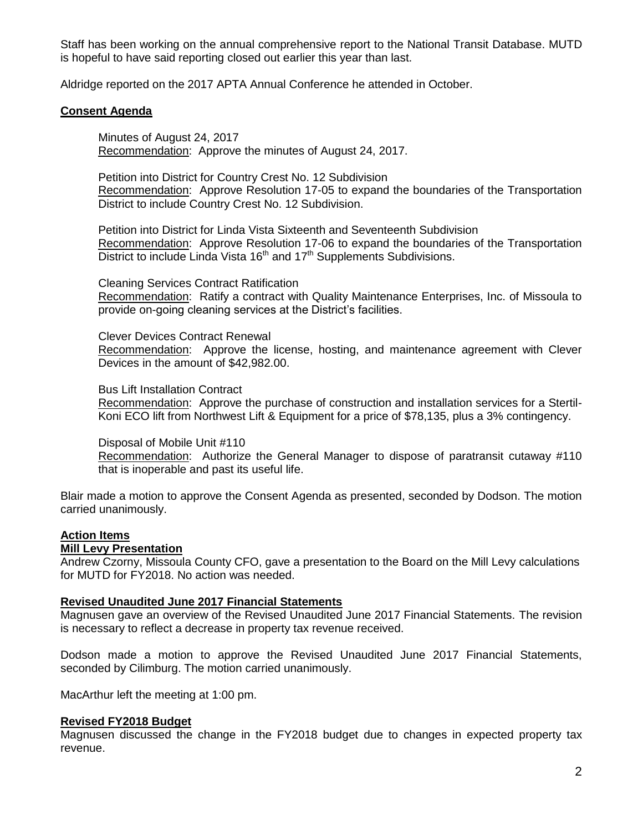Staff has been working on the annual comprehensive report to the National Transit Database. MUTD is hopeful to have said reporting closed out earlier this year than last.

Aldridge reported on the 2017 APTA Annual Conference he attended in October.

## **Consent Agenda**

Minutes of August 24, 2017 Recommendation: Approve the minutes of August 24, 2017.

Petition into District for Country Crest No. 12 Subdivision Recommendation: Approve Resolution 17-05 to expand the boundaries of the Transportation District to include Country Crest No. 12 Subdivision.

Petition into District for Linda Vista Sixteenth and Seventeenth Subdivision Recommendation: Approve Resolution 17-06 to expand the boundaries of the Transportation District to include Linda Vista 16<sup>th</sup> and 17<sup>th</sup> Supplements Subdivisions.

Cleaning Services Contract Ratification

Recommendation: Ratify a contract with Quality Maintenance Enterprises, Inc. of Missoula to provide on-going cleaning services at the District's facilities.

Clever Devices Contract Renewal Recommendation: Approve the license, hosting, and maintenance agreement with Clever Devices in the amount of \$42,982.00.

Bus Lift Installation Contract

Recommendation: Approve the purchase of construction and installation services for a Stertil-Koni ECO lift from Northwest Lift & Equipment for a price of \$78,135, plus a 3% contingency.

Disposal of Mobile Unit #110

Recommendation: Authorize the General Manager to dispose of paratransit cutaway #110 that is inoperable and past its useful life.

Blair made a motion to approve the Consent Agenda as presented, seconded by Dodson. The motion carried unanimously.

## **Action Items**

### **Mill Levy Presentation**

Andrew Czorny, Missoula County CFO, gave a presentation to the Board on the Mill Levy calculations for MUTD for FY2018. No action was needed.

### **Revised Unaudited June 2017 Financial Statements**

Magnusen gave an overview of the Revised Unaudited June 2017 Financial Statements. The revision is necessary to reflect a decrease in property tax revenue received.

Dodson made a motion to approve the Revised Unaudited June 2017 Financial Statements, seconded by Cilimburg. The motion carried unanimously.

MacArthur left the meeting at 1:00 pm.

### **Revised FY2018 Budget**

Magnusen discussed the change in the FY2018 budget due to changes in expected property tax revenue.